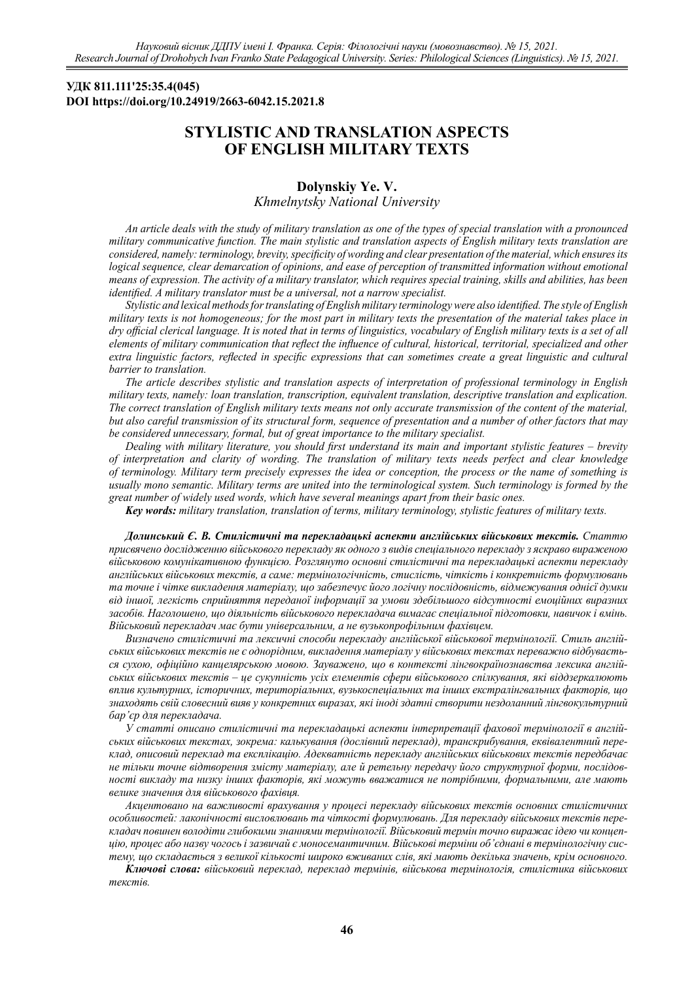## **УДК 811.111'25:35.4(045) DOI https://doi.org/10.24919/2663-6042.15.2021.8**

# **STYLISTIC AND TRANSLATION ASPECTS OF ENGLISH MILITARY TEXTS**

# **Dolynskiy Ye. V.**

*Khmelnytsky National University*

*An article deals with the study of military translation as one of the types of special translation with a pronounced military communicative function. The main stylistic and translation aspects of English military texts translation are considered, namely: terminology, brevity, specificity of wording and clear presentation of the material, which ensures its logical sequence, clear demarcation of opinions, and ease of perception of transmitted information without emotional means of expression. The activity of a military translator, which requires special training, skills and abilities, has been identified. A military translator must be a universal, not a narrow specialist.*

*Stylistic and lexical methods for translating of English military terminology were also identified. The style of English military texts is not homogeneous; for the most part in military texts the presentation of the material takes place in dry official clerical language. It is noted that in terms of linguistics, vocabulary of English military texts is a set of all elements of military communication that reflect the influence of cultural, historical, territorial, specialized and other extra linguistic factors, reflected in specific expressions that can sometimes create a great linguistic and cultural barrier to translation.*

*The article describes stylistic and translation aspects of interpretation of professional terminology in English military texts, namely: loan translation, transcription, equivalent translation, descriptive translation and explication. The correct translation of English military texts means not only accurate transmission of the content of the material, but also careful transmission of its structural form, sequence of presentation and a number of other factors that may be considered unnecessary, formal, but of great importance to the military specialist.*

*Dealing with military literature, you should first understand its main and important stylistic features ‒ brevity of interpretation and clarity of wording. The translation of military texts needs perfect and clear knowledge of terminology. Military term precisely expresses the idea or conception, the process or the name of something is usually mono semantic. Military terms are united into the terminological system. Such terminology is formed by the great number of widely used words, which have several meanings apart from their basic ones.* 

*Key words: military translation, translation of terms, military terminology, stylistic features of military texts.*

*Долинський Є. В. Стилістичні та перекладацькі аспекти англійських військових текстів. Статтю присвячено дослідженню військового перекладу як одного з видів спеціального перекладу з яскраво вираженою військовою комунікативною функцією. Розглянуто основні стилістичні та перекладацькі аспекти перекладу англійських військових текстів, а саме: термінологічність, стислість, чіткість і конкретність формулювань та точне і чітке викладення матеріалу, що забезпечує його логічну послідовність, відмежування однієї думки від іншої, легкість сприйняття переданої інформації за умови здебільшого відсутності емоційних виразних засобів. Наголошено, що діяльність військового перекладача вимагає спеціальної підготовки, навичок і вмінь. Військовий перекладач має бути універсальним, а не вузькопрофільним фахівцем.* 

*Визначено стилістичні та лексичні способи перекладу англійської військової термінології. Стиль англійських військових текстів не є однорідним, викладення матеріалу у військових текстах переважно відбувається сухою, офіційно канцелярською мовою. Зауважено, що в контексті лінгвокраїнознавства лексика англійських військових текстів ‒ це сукупність усіх елементів сфери військового спілкування, які віддзеркалюють вплив культурних, історичних, територіальних, вузькоспеціальних та інших екстралінгвальних факторів, що знаходять свій словесний вияв у конкретних виразах, які іноді здатні створити нездоланний лінгвокультурний бар'єр для перекладача.*

*У статті описано стилістичні та перекладацькі аспекти інтерпретації фахової термінології в англійських військових текстах, зокрема: калькування (дослівний переклад), транскрибування, еквівалентний переклад, описовий переклад та експлікацію. Адекватність перекладу англійських військових текстів передбачає не тільки точне відтворення змісту матеріалу, але й ретельну передачу його структурної форми, послідовності викладу та низку інших факторів, які можуть вважатися не потрібними, формальними, але мають велике значення для військового фахівця.* 

*Акцентовано на важливості врахування у процесі перекладу військових текстів основних стилістичних особливостей: лаконічності висловлювань та чіткості формулювань. Для перекладу військових текстів перекладач повинен володіти глибокими знаннями термінології. Військовий термін точно виражає ідею чи концепцію, процес або назву чогось і зазвичай є моносемантичним. Військові терміни об'єднані в термінологічну систему, що складається з великої кількості широко вживаних слів, які мають декілька значень, крім основного.*

*Ключові слова: військовий переклад, переклад термінів, військова термінологія, стилістика військових текстів.*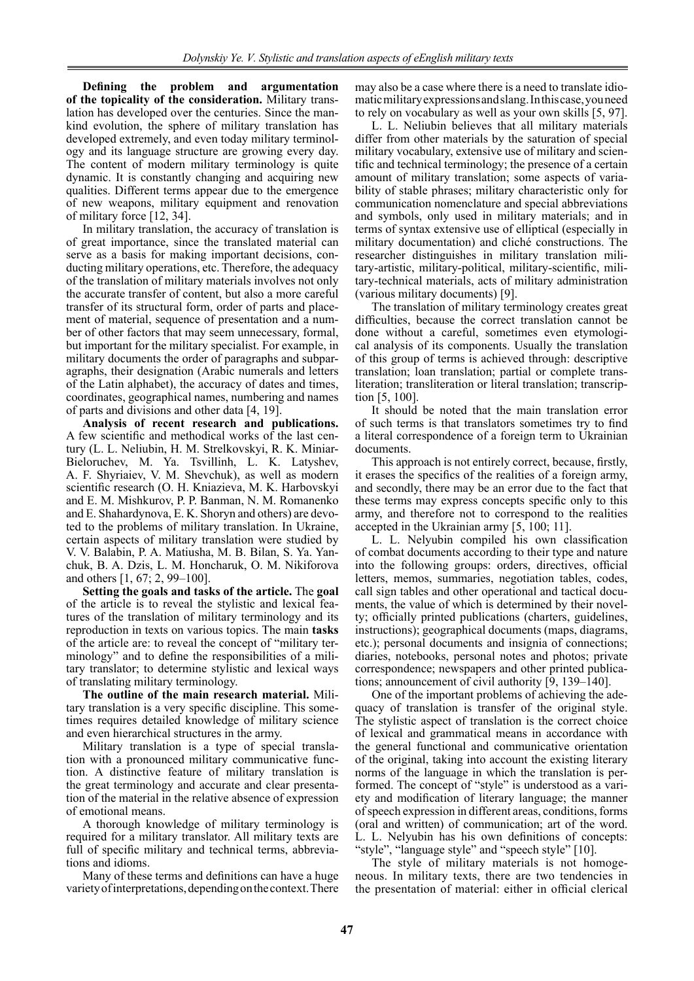**Defining the problem and argumentation of the topicality of the consideration.** Military translation has developed over the centuries. Since the mankind evolution, the sphere of military translation has developed extremely, and even today military terminology and its language structure are growing every day. The content of modern military terminology is quite dynamic. It is constantly changing and acquiring new qualities. Different terms appear due to the emergence of new weapons, military equipment and renovation of military force [12, 34].

In military translation, the accuracy of translation is of great importance, since the translated material can serve as a basis for making important decisions, conducting military operations, etc. Therefore, the adequacy of the translation of military materials involves not only the accurate transfer of content, but also a more careful transfer of its structural form, order of parts and placement of material, sequence of presentation and a number of other factors that may seem unnecessary, formal, but important for the military specialist. For example, in military documents the order of paragraphs and subparagraphs, their designation (Arabic numerals and letters of the Latin alphabet), the accuracy of dates and times, coordinates, geographical names, numbering and names of parts and divisions and other data [4, 19].

**Analysis of recent research and publications.** A few scientific and methodical works of the last century (L. L. Neliubin, H. M. Strelkovskyi, R. K. Miniar-Bieloruchev, M. Ya. Tsvillinh, L. K. Latyshev, A. F. Shyriaiev, V. M. Shevchuk), as well as modern scientific research (O. H. Kniazieva, M. K. Harbovskyi and E. M. Mishkurov, P. P. Banman, N. M. Romanenko and E. Shahardynova, E. K. Shoryn and others) are devoted to the problems of military translation. In Ukraine, certain aspects of military translation were studied by V. V. Balabin, P. A. Matiusha, M. B. Bilan, S. Ya. Yanchuk, B. A. Dzis, L. M. Honcharuk, O. M. Nikiforova and others [1, 67; 2, 99–100].

**Setting the goals and tasks of the article.** The **goal** of the article is to reveal the stylistic and lexical features of the translation of military terminology and its reproduction in texts on various topics. The main **tasks** of the article are: to reveal the concept of "military terminology" and to define the responsibilities of a military translator; to determine stylistic and lexical ways of translating military terminology.

**The outline of the main research material.** Military translation is a very specific discipline. This sometimes requires detailed knowledge of military science and even hierarchical structures in the army.

Military translation is a type of special translation with a pronounced military communicative function. A distinctive feature of military translation is the great terminology and accurate and clear presentation of the material in the relative absence of expression of emotional means.

A thorough knowledge of military terminology is required for a military translator. All military texts are full of specific military and technical terms, abbreviations and idioms.

Many of these terms and definitions can have a huge variety of interpretations, depending on the context. There

may also be a case where there is a need to translate idiomatic military expressions and slang. In this case, you need to rely on vocabulary as well as your own skills [5, 97].

L. L. Neliubin believes that all military materials differ from other materials by the saturation of special military vocabulary, extensive use of military and scientific and technical terminology; the presence of a certain amount of military translation; some aspects of variability of stable phrases; military characteristic only for communication nomenclature and special abbreviations and symbols, only used in military materials; and in terms of syntax extensive use of elliptical (especially in military documentation) and cliché constructions. The researcher distinguishes in military translation military-artistic, military-political, military-scientific, military-technical materials, acts of military administration (various military documents) [9].

The translation of military terminology creates great difficulties, because the correct translation cannot be done without a careful, sometimes even etymological analysis of its components. Usually the translation of this group of terms is achieved through: descriptive translation; loan translation; partial or complete transliteration; transliteration or literal translation; transcription [5, 100].

It should be noted that the main translation error of such terms is that translators sometimes try to find a literal correspondence of a foreign term to Ukrainian documents.

This approach is not entirely correct, because, firstly, it erases the specifics of the realities of a foreign army, and secondly, there may be an error due to the fact that these terms may express concepts specific only to this army, and therefore not to correspond to the realities accepted in the Ukrainian army [5, 100; 11].

L. L. Nelyubin compiled his own classification of combat documents according to their type and nature into the following groups: orders, directives, official letters, memos, summaries, negotiation tables, codes, call sign tables and other operational and tactical documents, the value of which is determined by their novelty; officially printed publications (charters, guidelines, instructions); geographical documents (maps, diagrams, etc.); personal documents and insignia of connections; diaries, notebooks, personal notes and photos; private correspondence; newspapers and other printed publications; announcement of civil authority [9, 139–140].

One of the important problems of achieving the adequacy of translation is transfer of the original style. The stylistic aspect of translation is the correct choice of lexical and grammatical means in accordance with the general functional and communicative orientation of the original, taking into account the existing literary norms of the language in which the translation is performed. The concept of "style" is understood as a variety and modification of literary language; the manner of speech expression in different areas, conditions, forms (oral and written) of communication; art of the word. L. L. Nelyubin has his own definitions of concepts: "style", "language style" and "speech style" [10].

The style of military materials is not homogeneous. In military texts, there are two tendencies in the presentation of material: either in official clerical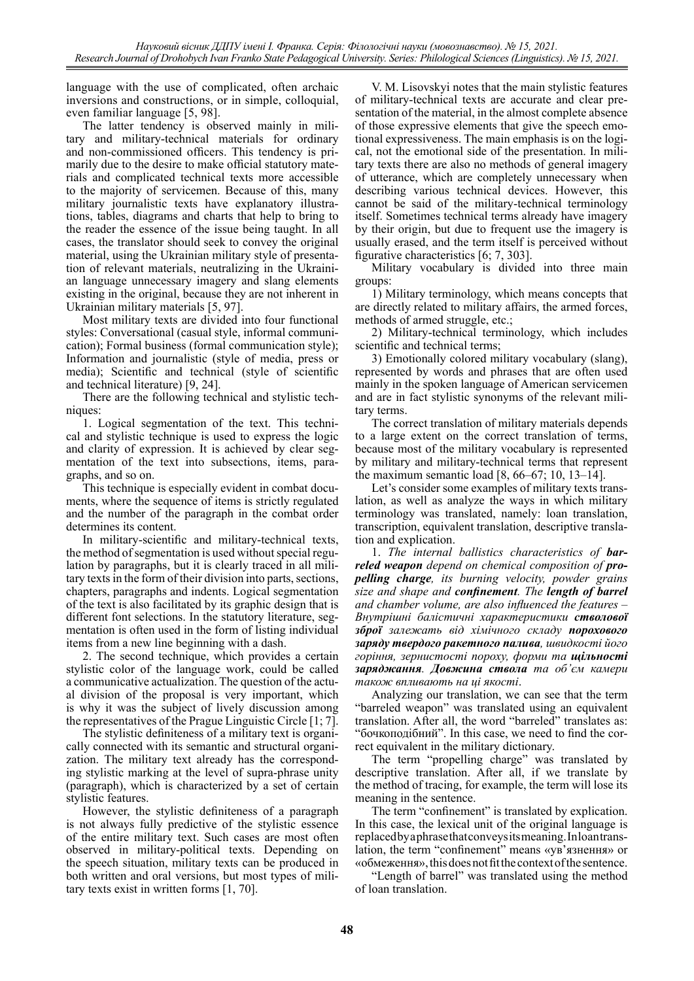language with the use of complicated, often archaic inversions and constructions, or in simple, colloquial, even familiar language [5, 98].

The latter tendency is observed mainly in military and military-technical materials for ordinary and non-commissioned officers. This tendency is primarily due to the desire to make official statutory materials and complicated technical texts more accessible to the majority of servicemen. Because of this, many military journalistic texts have explanatory illustrations, tables, diagrams and charts that help to bring to the reader the essence of the issue being taught. In all cases, the translator should seek to convey the original material, using the Ukrainian military style of presentation of relevant materials, neutralizing in the Ukrainian language unnecessary imagery and slang elements existing in the original, because they are not inherent in Ukrainian military materials [5, 97].

Most military texts are divided into four functional styles: Conversational (casual style, informal communication); Formal business (formal communication style); Information and journalistic (style of media, press or media); Scientific and technical (style of scientific and technical literature) [9, 24].

There are the following technical and stylistic techniques:

1. Logical segmentation of the text. This technical and stylistic technique is used to express the logic and clarity of expression. It is achieved by clear segmentation of the text into subsections, items, paragraphs, and so on.

This technique is especially evident in combat documents, where the sequence of items is strictly regulated and the number of the paragraph in the combat order determines its content.

In military-scientific and military-technical texts, the method of segmentation is used without special regulation by paragraphs, but it is clearly traced in all military texts in the form of their division into parts, sections, chapters, paragraphs and indents. Logical segmentation of the text is also facilitated by its graphic design that is different font selections. In the statutory literature, segmentation is often used in the form of listing individual items from a new line beginning with a dash.

2. The second technique, which provides a certain stylistic color of the language work, could be called a communicative actualization. The question of the actual division of the proposal is very important, which is why it was the subject of lively discussion among the representatives of the Prague Linguistic Circle [1; 7].

The stylistic definiteness of a military text is organically connected with its semantic and structural organization. The military text already has the corresponding stylistic marking at the level of supra-phrase unity (paragraph), which is characterized by a set of certain stylistic features.

However, the stylistic definiteness of a paragraph is not always fully predictive of the stylistic essence of the entire military text. Such cases are most often observed in military-political texts. Depending on the speech situation, military texts can be produced in both written and oral versions, but most types of military texts exist in written forms [1, 70].

V. M. Lisovskyi notes that the main stylistic features of military-technical texts are accurate and clear presentation of the material, in the almost complete absence of those expressive elements that give the speech emotional expressiveness. The main emphasis is on the logical, not the emotional side of the presentation. In military texts there are also no methods of general imagery of utterance, which are completely unnecessary when describing various technical devices. However, this cannot be said of the military-technical terminology itself. Sometimes technical terms already have imagery by their origin, but due to frequent use the imagery is usually erased, and the term itself is perceived without figurative characteristics [6; 7, 303].

Military vocabulary is divided into three main groups:

1) Military terminology, which means concepts that are directly related to military affairs, the armed forces, methods of armed struggle, etc.;

2) Military-technical terminology, which includes scientific and technical terms;

3) Emotionally colored military vocabulary (slang), represented by words and phrases that are often used mainly in the spoken language of American servicemen and are in fact stylistic synonyms of the relevant military terms.

The correct translation of military materials depends to a large extent on the correct translation of terms, because most of the military vocabulary is represented by military and military-technical terms that represent the maximum semantic load [8, 66–67; 10, 13–14].

Let's consider some examples of military texts translation, as well as analyze the ways in which military terminology was translated, namely: loan translation, transcription, equivalent translation, descriptive translation and explication.

1. *The internal ballistics characteristics of barreled weapon depend on chemical composition of propelling charge, its burning velocity, powder grains size and shape and confinement. The length of barrel and chamber volume, are also influenced the features* – *Внутрішні балістичні характеристики стволової зброї залежать від хімічного складу порохового заряду твердого ракетного палива, швидкості його горіння, зернистості пороху, форми та щільності заряджання. Довжина ствола та об'єм камери також впливають на ці якості*.

Analyzing our translation, we can see that the term "barreled weapon" was translated using an equivalent translation. After all, the word "barreled" translates as: "бочкоподібний". In this case, we need to find the correct equivalent in the military dictionary.

The term "propelling charge" was translated by descriptive translation. After all, if we translate by the method of tracing, for example, the term will lose its meaning in the sentence.

The term "confinement" is translated by explication. In this case, the lexical unit of the original language is replaced by a phrase that conveys its meaning. In loan translation, the term "confinement" means «ув'язнення» or «обмеження», this does not fit the context of the sentence.

"Length of barrel" was translated using the method of loan translation.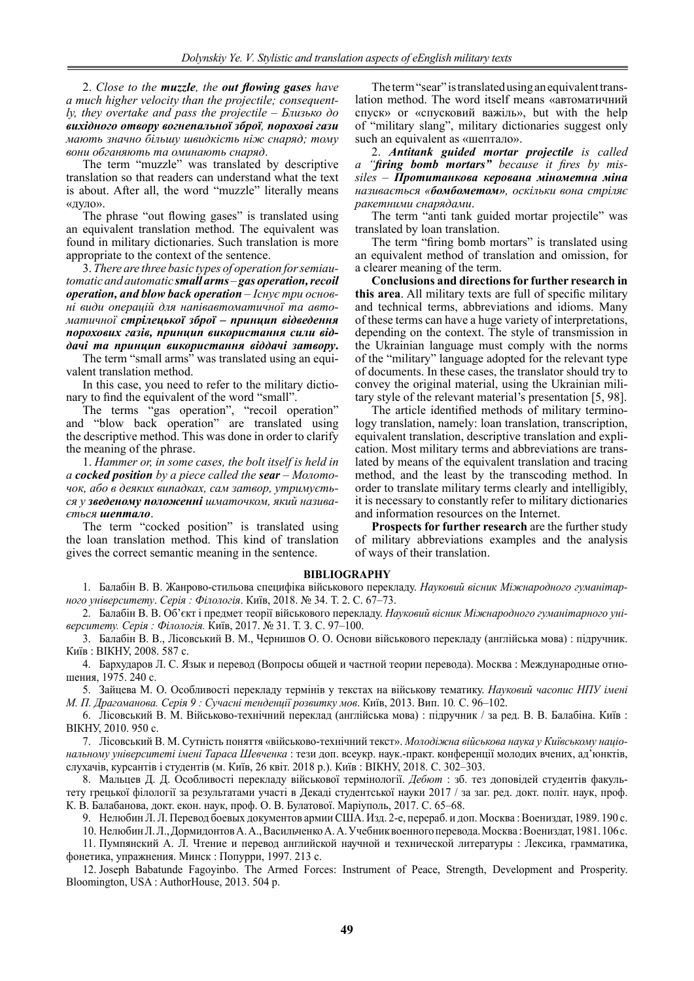2. *Close to the muzzle, the out flowing gases have a much higher velocity than the projectile; consequently, they overtake and pass the projectile* – *Близько до вихідного отвору вогнепальної зброї, порохові гази мають значно більшу швидкість ніж снаряд; тому вони обганяють та оминають снаряд*.

The term "muzzle" was translated by descriptive translation so that readers can understand what the text is about. After all, the word "muzzle" literally means «дуло».

The phrase "out flowing gases" is translated using an equivalent translation method. The equivalent was found in military dictionaries. Such translation is more appropriate to the context of the sentence.

3. *There are three basic types of operation for semiautomatic and automatic small arms – gas operation,recoil operation, and blow back operation* – *Існує три основні види операцій для напівавтоматичної та автоматичної стрілецької зброї – принцип відведення порохових газів, принцип використання сили віддачі та принцип використання віддачі затвору***.**

The term "small arms" was translated using an equivalent translation method.

In this case, you need to refer to the military dictionary to find the equivalent of the word "small".

The terms "gas operation", "recoil operation" and "blow back operation" are translated using the descriptive method. This was done in order to clarify the meaning of the phrase.

1. *Hammer or, in some cases, the bolt itself is held in a cocked position by a piece called the sear* – *Молоточок, або в деяких випадках, сам затвор, утримується у зведеному положенні шматочком, який називається шептало*.

The term "cocked position" is translated using the loan translation method. This kind of translation gives the correct semantic meaning in the sentence.

The term "sear" is translated using an equivalent translation method. The word itself means «автоматичний спуск» or «спусковий важіль», but with the help of "military slang", military dictionaries suggest only such an equivalent as «шептало».

2. *Antitank guided mortar projectile is called a "firing bomb mortars" because it fires by missiles* – *Протитанкова керована мінометна міна називається «бомбометом», оскільки вона стріляє ракетними снарядами*.

The term "anti tank guided mortar projectile" was translated by loan translation.

The term "firing bomb mortars" is translated using an equivalent method of translation and omission, for a clearer meaning of the term.

**Conclusions and directions for further research in this area**. All military texts are full of specific military and technical terms, abbreviations and idioms. Many of these terms can have a huge variety of interpretations, depending on the context. The style of transmission in the Ukrainian language must comply with the norms of the "military" language adopted for the relevant type of documents. In these cases, the translator should try to convey the original material, using the Ukrainian military style of the relevant material's presentation [5, 98].

The article identified methods of military terminology translation, namely: loan translation, transcription, equivalent translation, descriptive translation and explication. Most military terms and abbreviations are translated by means of the equivalent translation and tracing method, and the least by the transcoding method. In order to translate military terms clearly and intelligibly, it is necessary to constantly refer to military dictionaries and information resources on the Internet.

**Prospects for further research** are the further study of military abbreviations examples and the analysis of ways of their translation.

#### **BIBLIOGRAPHY**

1. Балабін В. В. Жанрово-стильова специфіка військового перекладу. *Науковий вісник Міжнародного гуманітарного університету*. *Серія : Філологія*. Київ, 2018. № 34. Т. 2. С. 67–73.

2. Балабін В. В. Об'єкт і предмет теорії військового перекладу. *Науковий вісник Міжнародного гуманітарного університету. Серія : Філологія.* Київ, 2017. № 31. Т. З. С. 97–100.

3. Балабін В. В., Лісовський В. М., Чернишов О. О. Основи військового перекладу (англійська мова) : підручник. Київ : ВІКНУ, 2008. 587 с.

4. Бархударов Л. С. Язык и перевод (Вопросы общей и частной теории перевода). Москва : Международные отношения, 1975. 240 с.

5. Зайцева М. О. Особливості перекладу термінів у текстах на військову тематику. *Науковий часопис НПУ імені М. П. Драгоманова. Серія 9 : Сучасні тенденції розвитку мов*. Київ, 2013. Вип. 10*.* С. 96–102.

6. Лісовський В. М. Військово-технічний переклад (англійська мова) : підручник / за ред. В. В. Балабіна. Київ : ВІКНУ, 2010. 950 с.

7. Лісовський В. М. Сутність поняття «військово-технічний текст». *Молодіжна військова наука у Київському національному університеті імені Тараса Шевченка* : тези доп. всеукр. наук.-практ. конференції молодих вчених, ад'юнктів, слухачів, курсантів і студентів (м. Київ, 26 квіт. 2018 р.). Київ : ВІКНУ, 2018. С. 302–303.

8. Мальцев Д. Д. Особливості перекладу військової термінології. *Дебют* : зб. тез доповідей студентів факультету грецької філології за результатами участі в Декаді студентської науки 2017 / за заг. ред. докт. політ. наук, проф. К. В. Балабанова, докт. екон. наук, проф. О. В. Булатової. Маріуполь, 2017. С. 65–68.

9. Нелюбин Л. Л. Перевод боевых документов армии США. Изд. 2-е, перераб. и доп. Москва : Воениздат, 1989. 190 с.

10. НелюбинЛ.Л., ДормидонтовА.А., ВасильченкоА.А. Учебник военного перевода. Москва : Воениздат, 1981. 106 с. 11. Пумпянский А. Л. Чтение и перевод английской научной и технической литературы : Лексика, грамматика,

фонетика, упражнения. Минск : Попурри, 1997. 213 с.

12. Joseph Babatunde Fagoyinbo. The Armed Forces: Instrument of Peace, Strength, Development and Prosperity. Bloomington, USA : AuthorHouse, 2013. 504 p.